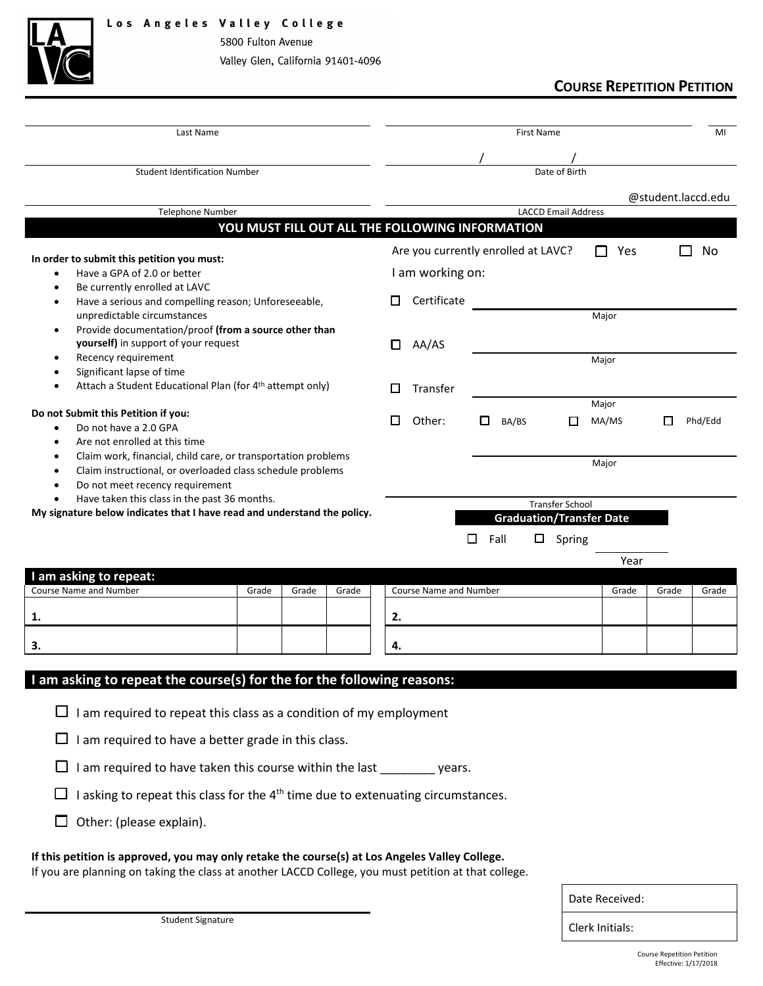

5800 Fulton Avenue Valley Glen, California 91401-4096

# **COURSE REPETITION PETITION**

| Last Name                                                                                    |                                                                   |       |       |    | <b>First Name</b>                               |            |                        |                            |                                 |                    | MI      |
|----------------------------------------------------------------------------------------------|-------------------------------------------------------------------|-------|-------|----|-------------------------------------------------|------------|------------------------|----------------------------|---------------------------------|--------------------|---------|
|                                                                                              |                                                                   |       |       |    |                                                 |            |                        |                            |                                 |                    |         |
| <b>Student Identification Number</b>                                                         |                                                                   |       |       |    |                                                 |            |                        | Date of Birth              |                                 |                    |         |
|                                                                                              |                                                                   |       |       |    |                                                 |            |                        |                            |                                 |                    |         |
| <b>Telephone Number</b>                                                                      |                                                                   |       |       |    |                                                 |            |                        | <b>LACCD Email Address</b> |                                 | @student.laccd.edu |         |
|                                                                                              |                                                                   |       |       |    | YOU MUST FILL OUT ALL THE FOLLOWING INFORMATION |            |                        |                            |                                 |                    |         |
|                                                                                              |                                                                   |       |       |    |                                                 |            |                        |                            |                                 |                    |         |
| In order to submit this petition you must:                                                   |                                                                   |       |       |    | Are you currently enrolled at LAVC?             |            |                        |                            | Yes<br>$\mathsf{L}$             |                    | No      |
| Have a GPA of 2.0 or better<br>$\bullet$                                                     |                                                                   |       |       |    | I am working on:                                |            |                        |                            |                                 |                    |         |
| Be currently enrolled at LAVC<br>$\bullet$                                                   |                                                                   |       |       |    |                                                 |            |                        |                            |                                 |                    |         |
| unpredictable circumstances                                                                  | Have a serious and compelling reason; Unforeseeable,<br>$\bullet$ |       |       |    | Certificate                                     |            |                        |                            | Major                           |                    |         |
| Provide documentation/proof (from a source other than<br>$\bullet$                           |                                                                   |       |       |    |                                                 |            |                        |                            |                                 |                    |         |
| yourself) in support of your request                                                         |                                                                   |       |       | П  | AA/AS                                           |            |                        |                            |                                 |                    |         |
| Recency requirement<br>٠                                                                     |                                                                   |       |       |    |                                                 |            |                        |                            | Major                           |                    |         |
| Significant lapse of time<br>٠                                                               |                                                                   |       |       |    |                                                 |            |                        |                            |                                 |                    |         |
| Attach a Student Educational Plan (for 4 <sup>th</sup> attempt only)<br>٠                    |                                                                   |       |       |    | Transfer                                        |            |                        |                            |                                 |                    |         |
| Do not Submit this Petition if you:                                                          |                                                                   |       |       |    |                                                 |            |                        |                            | Major                           |                    |         |
| Do not have a 2.0 GPA<br>$\bullet$                                                           |                                                                   |       |       |    | Other:                                          |            | BA/BS                  | П                          | MA/MS                           |                    | Phd/Edd |
| Are not enrolled at this time<br>$\bullet$                                                   |                                                                   |       |       |    |                                                 |            |                        |                            |                                 |                    |         |
| Claim work, financial, child care, or transportation problems<br>$\bullet$                   |                                                                   |       |       |    |                                                 |            |                        | Major                      |                                 |                    |         |
| Claim instructional, or overloaded class schedule problems<br>$\bullet$                      |                                                                   |       |       |    |                                                 |            |                        |                            |                                 |                    |         |
| Do not meet recency requirement<br>$\bullet$<br>Have taken this class in the past 36 months. |                                                                   |       |       |    |                                                 |            |                        |                            |                                 |                    |         |
| $\bullet$<br>My signature below indicates that I have read and understand the policy.        |                                                                   |       |       |    |                                                 |            | <b>Transfer School</b> |                            |                                 |                    |         |
|                                                                                              |                                                                   |       |       |    |                                                 |            |                        |                            | <b>Graduation/Transfer Date</b> |                    |         |
|                                                                                              |                                                                   |       |       |    |                                                 | Fall<br>ΙI | □                      | Spring                     |                                 |                    |         |
|                                                                                              |                                                                   |       |       |    |                                                 |            |                        |                            | Year                            |                    |         |
| I am asking to repeat:                                                                       |                                                                   |       |       |    |                                                 |            |                        |                            |                                 |                    |         |
| <b>Course Name and Number</b>                                                                | Grade                                                             | Grade | Grade |    | <b>Course Name and Number</b>                   |            |                        |                            | Grade                           | Grade              | Grade   |
| 1.                                                                                           |                                                                   |       |       | 2. |                                                 |            |                        |                            |                                 |                    |         |
|                                                                                              |                                                                   |       |       |    |                                                 |            |                        |                            |                                 |                    |         |
| 3.                                                                                           |                                                                   |       |       | 4. |                                                 |            |                        |                            |                                 |                    |         |
|                                                                                              |                                                                   |       |       |    |                                                 |            |                        |                            |                                 |                    |         |
| I am asking to repeat the course(s) for the for the following reasons:                       |                                                                   |       |       |    |                                                 |            |                        |                            |                                 |                    |         |
|                                                                                              |                                                                   |       |       |    |                                                 |            |                        |                            |                                 |                    |         |
| I am required to repeat this class as a condition of my employment<br>$\Box$                 |                                                                   |       |       |    |                                                 |            |                        |                            |                                 |                    |         |
| I am required to have a better grade in this class.                                          |                                                                   |       |       |    |                                                 |            |                        |                            |                                 |                    |         |
|                                                                                              |                                                                   |       |       |    |                                                 |            |                        |                            |                                 |                    |         |
| I am required to have taken this course within the last _________ years.<br>□                |                                                                   |       |       |    |                                                 |            |                        |                            |                                 |                    |         |
|                                                                                              |                                                                   |       |       |    |                                                 |            |                        |                            |                                 |                    |         |

 $\Box$  I asking to repeat this class for the 4<sup>th</sup> time due to extenuating circumstances.

 $\Box$  Other: (please explain).

### **If this petition is approved, you may only retake the course(s) at Los Angeles Valley College.**

If you are planning on taking the class at another LACCD College, you must petition at that college.

Student Signature **Clerk Initials:**